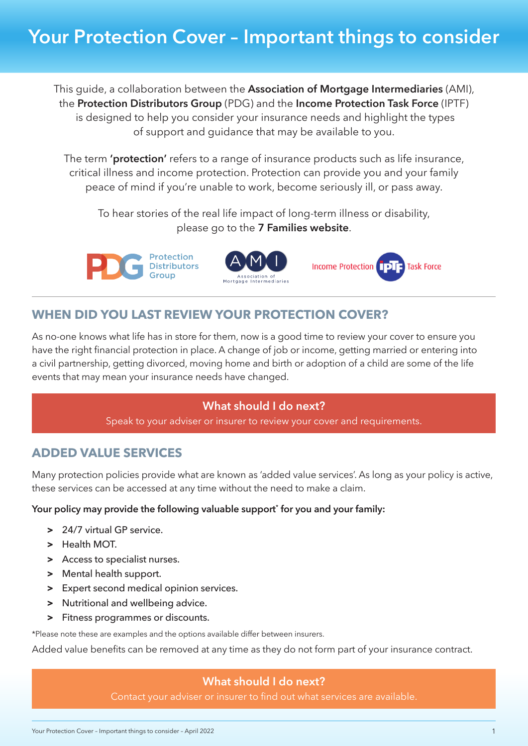This guide, a collaboration between the **Association of Mortgage Intermediaries** (AMI), the **Protection Distributors Group** (PDG) and the **Income Protection Task Force** (IPTF) is designed to help you consider your insurance needs and highlight the types of support and guidance that may be available to you.

The term **'protection'** refers to a range of insurance products such as life insurance, critical illness and income protection. Protection can provide you and your family peace of mind if you're unable to work, become seriously ill, or pass away.

To hear stories of the real life impact of long-term illness or disability, please go to the **[7 Families website](http://7families.co.uk)**.







# **WHEN DID YOU LAST REVIEW YOUR PROTECTION COVER?**

As no-one knows what life has in store for them, now is a good time to review your cover to ensure you have the right financial protection in place. A change of job or income, getting married or entering into a civil partnership, getting divorced, moving home and birth or adoption of a child are some of the life events that may mean your insurance needs have changed.

### **What should I do next?**

Speak to your adviser or insurer to review your cover and requirements.

## **ADDED VALUE SERVICES**

Many protection policies provide what are known as 'added value services'. As long as your policy is active, these services can be accessed at any time without the need to make a claim.

#### **Your policy may provide the following valuable support\* for you and your family:**

- **>** 24/7 virtual GP service.
- **>** Health MOT.
- **>** Access to specialist nurses.
- **>** Mental health support.
- **>** Expert second medical opinion services.
- **>** Nutritional and wellbeing advice.
- **>** Fitness programmes or discounts.

\*Please note these are examples and the options available differ between insurers.

Added value benefits can be removed at any time as they do not form part of your insurance contract.

### **What should I do next?**